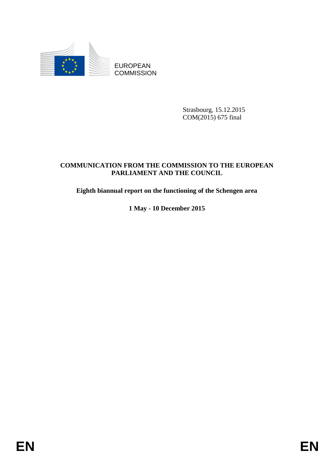

**COMMISSION** 

Strasbourg, 15.12.2015 COM(2015) 675 final

# EUROPEAN<br>
COMMUNICATION FROM THE COMMISSION TO THE EUROPEAN<br>
COMMUNICATION FROM THE COMMISSION TO THE EUROPEAN<br>
PARLAMENT AND THE COMMISSION TO THE EUROPEAN<br>
FIGHT DRAGGING TO THE CONDITION CONDITION<br>
Eighth Disnapolit rep **COMMUNICATION FROM THE COMMISSION TO THE EUROPEAN PARLIAMENT AND THE COUNCIL**

# **Eighth biannual report on the functioning of the Schengen area**

**1 May - 10 December 2015**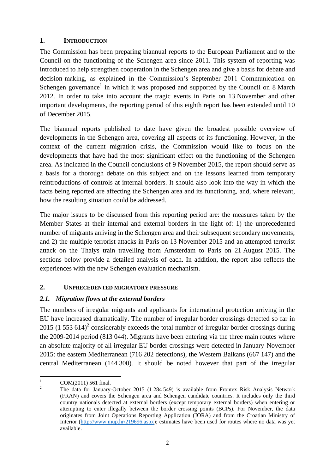### **1. INTRODUCTION**

The Commission has been preparing biannual reports to the European Parliament and to the Council on the functioning of the Schengen area since 2011. This system of reporting was introduced to help strengthen cooperation in the Schengen area and give a basis for debate and decision-making, as explained in the Commission's September 2011 Communication on Schengen governance<sup>1</sup> in which it was proposed and supported by the Council on 8 March 2012. In order to take into account the tragic events in Paris on 13 November and other important developments, the reporting period of this eighth report has been extended until 10 of December 2015.

The biannual reports published to date have given the broadest possible overview of developments in the Schengen area, covering all aspects of its functioning. However, in the context of the current migration crisis, the Commission would like to focus on the developments that have had the most significant effect on the functioning of the Schengen area. As indicated in the Council conclusions of 9 November 2015, the report should serve as a basis for a thorough debate on this subject and on the lessons learned from temporary reintroductions of controls at internal borders. It should also look into the way in which the facts being reported are affecting the Schengen area and its functioning, and, where relevant, how the resulting situation could be addressed.

The major issues to be discussed from this reporting period are: the measures taken by the Member States at their internal and external borders in the light of: 1) the unprecedented number of migrants arriving in the Schengen area and their subsequent secondary movements; and 2) the multiple terrorist attacks in Paris on 13 November 2015 and an attempted terrorist attack on the Thalys train travelling from Amsterdam to Paris on 21 August 2015. The sections below provide a detailed analysis of each. In addition, the report also reflects the experiences with the new Schengen evaluation mechanism.

### **2. UNPRECEDENTED MIGRATORY PRESSURE**

### *2.1. Migration flows at the external borders*

The numbers of irregular migrants and applicants for international protection arriving in the EU have increased dramatically. The number of irregular border crossings detected so far in 2015 (1 553 614)<sup>2</sup> considerably exceeds the total number of irregular border crossings during the 2009-2014 period (813 044). Migrants have been entering via the three main routes where an absolute majority of all irregular EU border crossings were detected in January-November 2015: the eastern Mediterranean (716 202 detections), the Western Balkans (667 147) and the central Mediterranean (144 300)*.* It should be noted however that part of the irregular

 $\mathbf{1}$  $\frac{1}{2}$  COM(2011) 561 final.

<sup>2</sup> The data for January-October 2015 (1 284 549) is available from Frontex Risk Analysis Network (FRAN) and covers the Schengen area and Schengen candidate countries. It includes only the third country nationals detected at external borders (except temporary external borders) when entering or attempting to enter illegally between the border crossing points (BCPs). For November, the data originates from Joint Operations Reporting Application (JORA) and from the Croatian Ministry of Interior (http://www.mup.hr/219696.aspx); estimates have been used for routes where no data was yet available.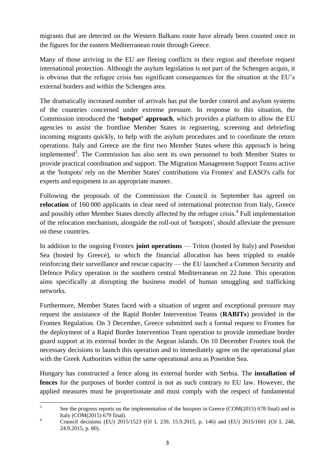migrants that are detected on the Western Balkans route have already been counted once in the figures for the eastern Mediterranean route through Greece.

Many of those arriving in the EU are fleeing conflicts in their region and therefore request international protection. Although the asylum legislation is not part of the Schengen acquis, it is obvious that the refugee crisis has significant consequences for the situation at the EU's external borders and within the Schengen area.

The dramatically increased number of arrivals has put the border control and asylum systems of the countries concerned under extreme pressure. In response to this situation, the Commission introduced the **'hotspot' approach**, which provides a platform to allow the EU agencies to assist the frontline Member States in registering, screening and debriefing incoming migrants quickly, to help with the asylum procedures and to coordinate the return operations. Italy and Greece are the first two Member States where this approach is being implemented<sup>3</sup>. The Commission has also sent its own personnel to both Member States to provide practical coordination and support. The Migration Management Support Teams active at the 'hotspots' rely on the Member States' contributions via Frontex' and EASO's calls for experts and equipment in an appropriate manner.

Following the proposals of the Commission the Council in September has agreed on **relocation** of 160 000 applicants in clear need of international protection from Italy, Greece and possibly other Member States directly affected by the refugee crisis.<sup>4</sup> Full implementation of the relocation mechanism, alongside the roll-out of 'hotspots', should alleviate the pressure on these countries.

In addition to the ongoing Frontex **joint operations** — Triton (hosted by Italy) and Poseidon Sea (hosted by Greece), to which the financial allocation has been trippled to enable reinforcing their surveillance and rescue capacity — the EU launched a Common Security and Defence Policy operation in the southern central Mediterranean on 22 June. This operation aims specifically at disrupting the business model of human smuggling and trafficking networks.

Furthermore, Member States faced with a situation of urgent and exceptional pressure may request the assistance of the Rapid Border Intervention Teams (**RABITs**) provided in the Frontex Regulation. On 3 December, Greece submitted such a formal request to Frontex for the deployment of a Rapid Border Intervention Team operation to provide immediate border guard support at its external border in the Aegean islands. On 10 December Frontex took the necessary decisions to launch this operation and to immediately agree on the operational plan with the Greek Authorities within the same operational area as Poseidon Sea.

Hungary has constructed a fence along its external border with Serbia. The **installation of fences** for the purposes of border control is not as such contrary to EU law. However, the applied measures must be proportionate and must comply with the respect of fundamental

 $\frac{1}{3}$ See the progress reports on the implementation of the hotspots in Greece (COM(2015) 678 final) and in Italy (COM(2015) 679 final).

<sup>&</sup>lt;sup>4</sup> Council decisions (EU) 2015/1523 (OJ L 239, 15.9.2015, p. 146) and (EU) 2015/1601 (OJ L 248, 24.9.2015, p. 80).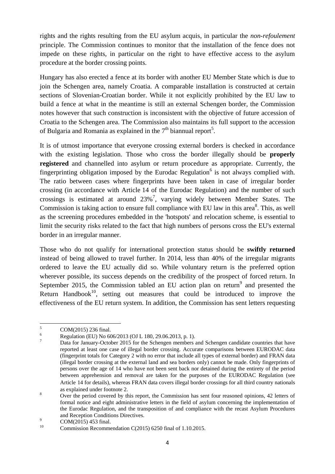rights and the rights resulting from the EU asylum acquis, in particular the *non-refoulement* principle. The Commission continues to monitor that the installation of the fence does not impede on these rights, in particular on the right to have effective access to the asylum procedure at the border crossing points.

Hungary has also erected a fence at its border with another EU Member State which is due to join the Schengen area, namely Croatia. A comparable installation is constructed at certain sections of Slovenian-Croatian border. While it not explicitly prohibited by the EU law to build a fence at what in the meantime is still an external Schengen border, the Commission notes however that such construction is inconsistent with the objective of future accession of Croatia to the Schengen area. The Commission also maintains its full support to the accession of Bulgaria and Romania as explained in the  $7<sup>th</sup>$  biannual report<sup>5</sup>.

It is of utmost importance that everyone crossing external borders is checked in accordance with the existing legislation. Those who cross the border illegally should be **properly registered** and channelled into asylum or return procedure as appropriate. Currently, the fingerprinting obligation imposed by the Eurodac Regulation<sup>6</sup> is not always complied with. The ratio between cases where fingerprints have been taken in case of irregular border crossing (in accordance with Article 14 of the Eurodac Regulation) and the number of such crossings is estimated at around  $23\%$ <sup>7</sup>, varying widely between Member States. The Commission is taking action to ensure full compliance with EU law in this area $8$ . This, as well as the screening procedures embedded in the 'hotspots' and relocation scheme, is essential to limit the security risks related to the fact that high numbers of persons cross the EU's external border in an irregular manner.

Those who do not qualify for international protection status should be **swiftly returned**  instead of being allowed to travel further. In 2014, less than 40% of the irregular migrants ordered to leave the EU actually did so. While voluntary return is the preferred option wherever possible, its success depends on the credibility of the prospect of forced return. In September 2015, the Commission tabled an EU action plan on return<sup>9</sup> and presented the Return Handbook<sup>10</sup>, setting out measures that could be introduced to improve the effectiveness of the EU return system. In addition, the Commission has sent letters requesting

 $\overline{5}$  $5 \text{COM}(2015)$  236 final.

<sup>&</sup>lt;sup>6</sup><br>Regulation (EU) No  $606/2013$  (OJ L 180, 29.06.2013, p. 1).

<sup>7</sup> Data for January-October 2015 for the Schengen members and Schengen candidate countries that have reported at least one case of illegal border crossing. Accurate comparisons between EURODAC data (fingerprint totals for Category 2 with no error that include all types of external border) and FRAN data (illegal border crossing at the external land and sea borders only) cannot be made. Only fingerprints of persons over the age of 14 who have not been sent back nor detained during the entirety of the period between apprehension and removal are taken for the purposes of the EURODAC Regulation (see Article 14 for details), whereas FRAN data covers illegal border crossings for all third country nationals as explained under footnote 2.

<sup>&</sup>lt;sup>8</sup> Over the period covered by this report, the Commission has sent four reasoned opinions, 42 letters of formal notice and eight administrative letters in the field of asylum concerning the implementation of the Eurodac Regulation, and the transposition of and compliance with the recast Asylum Procedures and Reception Conditions Directives.

 $\frac{9}{10}$  COM(2015) 453 final.

Commission Recommendation C(2015) 6250 final of 1.10.2015.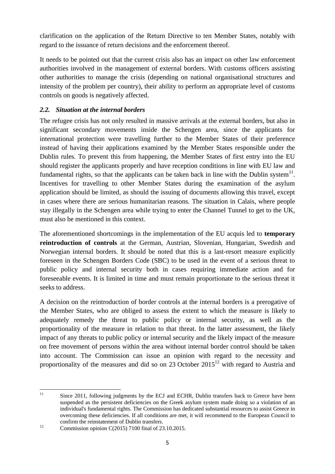clarification on the application of the Return Directive to ten Member States, notably with regard to the issuance of return decisions and the enforcement thereof.

It needs to be pointed out that the current crisis also has an impact on other law enforcement authorities involved in the management of external borders. With customs officers assisting other authorities to manage the crisis (depending on national organisational structures and intensity of the problem per country), their ability to perform an appropriate level of customs controls on goods is negatively affected.

### *2.2. Situation at the internal borders*

The refugee crisis has not only resulted in massive arrivals at the external borders, but also in significant secondary movements inside the Schengen area, since the applicants for international protection were travelling further to the Member States of their preference instead of having their applications examined by the Member States responsible under the Dublin rules. To prevent this from happening, the Member States of first entry into the EU should register the applicants properly and have reception conditions in line with EU law and fundamental rights, so that the applicants can be taken back in line with the Dublin system $^{11}$ . Incentives for travelling to other Member States during the examination of the asylum application should be limited, as should the issuing of documents allowing this travel, except in cases where there are serious humanitarian reasons. The situation in Calais, where people stay illegally in the Schengen area while trying to enter the Channel Tunnel to get to the UK, must also be mentioned in this context.

The aforementioned shortcomings in the implementation of the EU acquis led to **temporary reintroduction of controls** at the German, Austrian, Slovenian, Hungarian, Swedish and Norwegian internal borders. It should be noted that this is a last-resort measure explicitly foreseen in the Schengen Borders Code (SBC) to be used in the event of a serious threat to public policy and internal security both in cases requiring immediate action and for foreseeable events. It is limited in time and must remain proportionate to the serious threat it seeks to address.

A decision on the reintroduction of border controls at the internal borders is a prerogative of the Member States, who are obliged to assess the extent to which the measure is likely to adequately remedy the threat to public policy or internal security, as well as the proportionality of the measure in relation to that threat. In the latter assessment, the likely impact of any threats to public policy or internal security and the likely impact of the measure on free movement of persons within the area without internal border control should be taken into account. The Commission can issue an opinion with regard to the necessity and proportionality of the measures and did so on 23 October  $2015^{12}$  with regard to Austria and

 $\overline{11}$ Since 2011, following judgments by the ECJ and ECHR, Dublin transfers back to Greece have been suspended as the persistent deficiencies on the Greek asylum system made doing so a violation of an individual's fundamental rights. The Commission has dedicated substantial resources to assist Greece in overcoming these deficiencies. If all conditions are met, it will recommend to the European Council to confirm the reinstatement of Dublin transfers.

<sup>&</sup>lt;sup>12</sup> Commission opinion C(2015) 7100 final of 23.10.2015.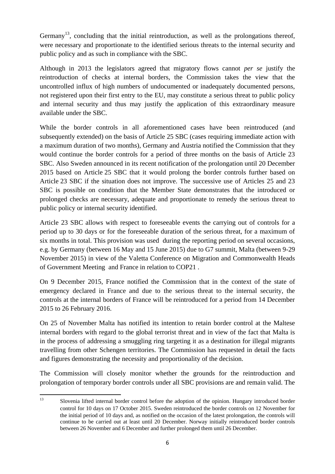Germany<sup>13</sup>, concluding that the initial reintroduction, as well as the prolongations thereof, were necessary and proportionate to the identified serious threats to the internal security and public policy and as such in compliance with the SBC.

Although in 2013 the legislators agreed that migratory flows cannot *per se* justify the reintroduction of checks at internal borders, the Commission takes the view that the uncontrolled influx of high numbers of undocumented or inadequately documented persons, not registered upon their first entry to the EU, may constitute a serious threat to public policy and internal security and thus may justify the application of this extraordinary measure available under the SBC.

While the border controls in all aforementioned cases have been reintroduced (and subsequently extended) on the basis of Article 25 SBC (cases requiring immediate action with a maximum duration of two months), Germany and Austria notified the Commission that they would continue the border controls for a period of three months on the basis of Article 23 SBC. Also Sweden announced in its recent notification of the prolongation until 20 December 2015 based on Article 25 SBC that it would prolong the border controls further based on Article 23 SBC if the situation does not improve. The successive use of Articles 25 and 23 SBC is possible on condition that the Member State demonstrates that the introduced or prolonged checks are necessary, adequate and proportionate to remedy the serious threat to public policy or internal security identified.

Article 23 SBC allows with respect to foreseeable events the carrying out of controls for a period up to 30 days or for the foreseeable duration of the serious threat, for a maximum of six months in total. This provision was used during the reporting period on several occasions, e.g. by Germany (between 16 May and 15 June 2015) due to G7 summit, Malta (between 9-29 November 2015) in view of the Valetta Conference on Migration and Commonwealth Heads of Government Meeting and France in relation to COP21 .

On 9 December 2015, France notified the Commission that in the context of the state of emergency declared in France and due to the serious threat to the internal security, the controls at the internal borders of France will be reintroduced for a period from 14 December 2015 to 26 February 2016.

On 25 of November Malta has notified its intention to retain border control at the Maltese internal borders with regard to the global terrorist threat and in view of the fact that Malta is in the process of addressing a smuggling ring targeting it as a destination for illegal migrants travelling from other Schengen territories. The Commission has requested in detail the facts and figures demonstrating the necessity and proportionality of the decision.

The Commission will closely monitor whether the grounds for the reintroduction and prolongation of temporary border controls under all SBC provisions are and remain valid. The

<sup>13</sup> <sup>13</sup> Slovenia lifted internal border control before the adoption of the opinion. Hungary introduced border control for 10 days on 17 October 2015. Sweden reintroduced the border controls on 12 November for the initial period of 10 days and, as notified on the occasion of the latest prolongation, the controls will continue to be carried out at least until 20 December. Norway initially reintroduced border controls between 26 November and 6 December and further prolonged them until 26 December.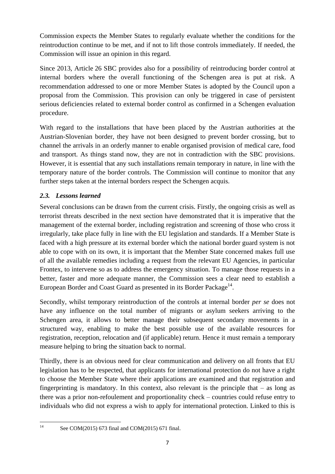Commission expects the Member States to regularly evaluate whether the conditions for the reintroduction continue to be met, and if not to lift those controls immediately. If needed, the Commission will issue an opinion in this regard.

Since 2013, Article 26 SBC provides also for a possibility of reintroducing border control at internal borders where the overall functioning of the Schengen area is put at risk. A recommendation addressed to one or more Member States is adopted by the Council upon a proposal from the Commission. This provision can only be triggered in case of persistent serious deficiencies related to external border control as confirmed in a Schengen evaluation procedure.

With regard to the installations that have been placed by the Austrian authorities at the Austrian-Slovenian border, they have not been designed to prevent border crossing, but to channel the arrivals in an orderly manner to enable organised provision of medical care, food and transport. As things stand now, they are not in contradiction with the SBC provisions. However, it is essential that any such installations remain temporary in nature, in line with the temporary nature of the border controls. The Commission will continue to monitor that any further steps taken at the internal borders respect the Schengen acquis.

# *2.3. Lessons learned*

Several conclusions can be drawn from the current crisis. Firstly, the ongoing crisis as well as terrorist threats described in the next section have demonstrated that it is imperative that the management of the external border, including registration and screening of those who cross it irregularly, take place fully in line with the EU legislation and standards. If a Member State is faced with a high pressure at its external border which the national border guard system is not able to cope with on its own, it is important that the Member State concerned makes full use of all the available remedies including a request from the relevant EU Agencies, in particular Frontex, to intervene so as to address the emergency situation. To manage those requests in a better, faster and more adequate manner, the Commission sees a clear need to establish a European Border and Coast Guard as presented in its Border Package<sup>14</sup>.

Secondly, whilst temporary reintroduction of the controls at internal border *per se* does not have any influence on the total number of migrants or asylum seekers arriving to the Schengen area, it allows to better manage their subsequent secondary movements in a structured way, enabling to make the best possible use of the available resources for registration, reception, relocation and (if applicable) return. Hence it must remain a temporary measure helping to bring the situation back to normal.

Thirdly, there is an obvious need for clear communication and delivery on all fronts that EU legislation has to be respected, that applicants for international protection do not have a right to choose the Member State where their applications are examined and that registration and fingerprinting is mandatory. In this context, also relevant is the principle that  $-$  as long as there was a prior non-refoulement and proportionality check – countries could refuse entry to individuals who did not express a wish to apply for international protection. Linked to this is

 $14$ 

See COM(2015) 673 final and COM(2015) 671 final.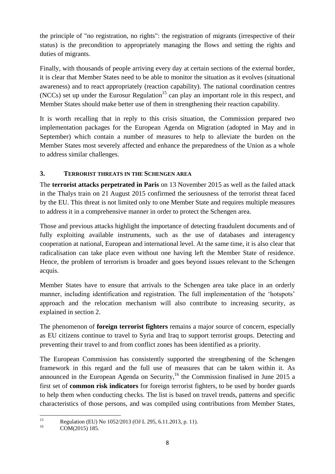the principle of "no registration, no rights": the registration of migrants (irrespective of their status) is the precondition to appropriately managing the flows and setting the rights and duties of migrants.

Finally, with thousands of people arriving every day at certain sections of the external border, it is clear that Member States need to be able to monitor the situation as it evolves (situational awareness) and to react appropriately (reaction capability). The national coordination centres (NCCs) set up under the Eurosur Regulation<sup>15</sup> can play an important role in this respect, and Member States should make better use of them in strengthening their reaction capability.

It is worth recalling that in reply to this crisis situation, the Commission prepared two implementation packages for the European Agenda on Migration (adopted in May and in September) which contain a number of measures to help to alleviate the burden on the Member States most severely affected and enhance the preparedness of the Union as a whole to address similar challenges.

# **3. TERRORIST THREATS IN THE SCHENGEN AREA**

The **terrorist attacks perpetrated in Paris** on 13 November 2015 as well as the failed attack in the Thalys train on 21 August 2015 confirmed the seriousness of the terrorist threat faced by the EU. This threat is not limited only to one Member State and requires multiple measures to address it in a comprehensive manner in order to protect the Schengen area.

Those and previous attacks highlight the importance of detecting fraudulent documents and of fully exploiting available instruments, such as the use of databases and interagency cooperation at national, European and international level. At the same time, it is also clear that radicalisation can take place even without one having left the Member State of residence. Hence, the problem of terrorism is broader and goes beyond issues relevant to the Schengen acquis.

Member States have to ensure that arrivals to the Schengen area take place in an orderly manner, including identification and registration. The full implementation of the 'hotspots' approach and the relocation mechanism will also contribute to increasing security, as explained in section 2.

The phenomenon of **foreign terrorist fighters** remains a major source of concern, especially as EU citizens continue to travel to Syria and Iraq to support terrorist groups. Detecting and preventing their travel to and from conflict zones has been identified as a priority.

The European Commission has consistently supported the strengthening of the Schengen framework in this regard and the full use of measures that can be taken within it. As announced in the European Agenda on Security,  $16$  the Commission finalised in June 2015 a first set of **common risk indicators** for foreign terrorist fighters, to be used by border guards to help them when conducting checks. The list is based on travel trends, patterns and specific characteristics of those persons, and was compiled using contributions from Member States,

 $15$ <sup>15</sup><br>Regulation (EU) No 1052/2013 (OJ L 295, 6.11.2013, p. 11).<br>COM(2015) 185

COM(2015) 185.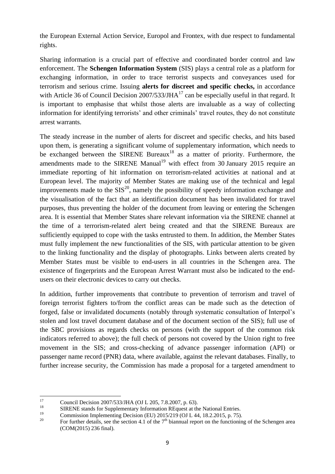the European External Action Service, Europol and Frontex, with due respect to fundamental rights.

Sharing information is a crucial part of effective and coordinated border control and law enforcement. The **Schengen Information System** (SIS) plays a central role as a platform for exchanging information, in order to trace terrorist suspects and conveyances used for terrorism and serious crime. Issuing **alerts for discreet and specific checks,** in accordance with Article 36 of Council Decision 2007/533/JHA<sup>17</sup> can be especially useful in that regard. It is important to emphasise that whilst those alerts are invaluable as a way of collecting information for identifying terrorists' and other criminals' travel routes, they do not constitute arrest warrants.

The steady increase in the number of alerts for discreet and specific checks, and hits based upon them, is generating a significant volume of supplementary information, which needs to be exchanged between the SIRENE Bureaux<sup>18</sup> as a matter of priority. Furthermore, the amendments made to the SIRENE Manual<sup>19</sup> with effect from 30 January 2015 require an immediate reporting of hit information on terrorism-related activities at national and at European level. The majority of Member States are making use of the technical and legal improvements made to the  $SIS^{20}$ , namely the possibility of speedy information exchange and the visualisation of the fact that an identification document has been invalidated for travel purposes, thus preventing the holder of the document from leaving or entering the Schengen area. It is essential that Member States share relevant information via the SIRENE channel at the time of a terrorism-related alert being created and that the SIRENE Bureaux are sufficiently equipped to cope with the tasks entrusted to them. In addition, the Member States must fully implement the new functionalities of the SIS, with particular attention to be given to the linking functionality and the display of photographs. Links between alerts created by Member States must be visible to end-users in all countries in the Schengen area. The existence of fingerprints and the European Arrest Warrant must also be indicated to the endusers on their electronic devices to carry out checks.

In addition, further improvements that contribute to prevention of terrorism and travel of foreign terrorist fighters to/from the conflict areas can be made such as the detection of forged, false or invalidated documents (notably through systematic consultation of Interpol's stolen and lost travel document database and of the document section of the SIS); full use of the SBC provisions as regards checks on persons (with the support of the common risk indicators referred to above); the full check of persons not covered by the Union right to free movement in the SIS; and cross-checking of advance passenger information (API) or passenger name record (PNR) data, where available, against the relevant databases. Finally, to further increase security, the Commission has made a proposal for a targeted amendment to

<sup>17</sup> <sup>17</sup> Council Decision 2007/533/JHA (OJ L 205, 7.8.2007, p. 63).

<sup>&</sup>lt;sup>18</sup> SIRENE stands for Supplementary Information REquest at the National Entries.

<sup>&</sup>lt;sup>19</sup> Commission Implementing Decision (EU) 2015/219 (OJ L 44, 18.2.2015, p. 75).<br><sup>20</sup> Eqs. further details see the section 4.1 of the 7<sup>th</sup> binnual report on the functionin

For further details, see the section 4.1 of the  $7<sup>th</sup>$  biannual report on the functioning of the Schengen area (COM(2015) 236 final).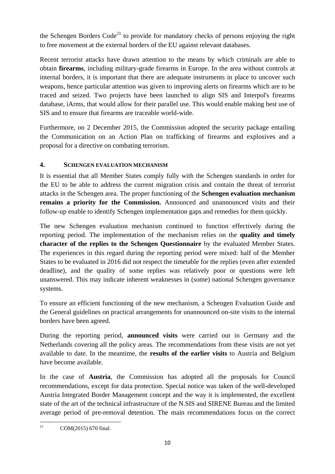the Schengen Borders Code<sup>21</sup> to provide for mandatory checks of persons enjoying the right to free movement at the external borders of the EU against relevant databases.

Recent terrorist attacks have drawn attention to the means by which criminals are able to obtain **firearms**, including military-grade firearms in Europe. In the area without controls at internal borders, it is important that there are adequate instruments in place to uncover such weapons, hence particular attention was given to improving alerts on firearms which are to be traced and seized. Two projects have been launched to align SIS and Interpol's firearms database, iArms, that would allow for their parallel use. This would enable making best use of SIS and to ensure that firearms are traceable world-wide.

Furthermore, on 2 December 2015, the Commission adopted the security package entailing the Communication on an Action Plan on trafficking of firearms and explosives and a proposal for a directive on combating terrorism.

# **4. SCHENGEN EVALUATION MECHANISM**

It is essential that all Member States comply fully with the Schengen standards in order for the EU to be able to address the current migration crisis and contain the threat of terrorist attacks in the Schengen area. The proper functioning of the **Schengen evaluation mechanism remains a priority for the Commission.** Announced and unannounced visits and their follow-up enable to identify Schengen implementation gaps and remedies for them quickly.

The new Schengen evaluation mechanism continued to function effectively during the reporting period. The implementation of the mechanism relies on the **quality and timely character of the replies to the Schengen Questionnaire** by the evaluated Member States. The experiences in this regard during the reporting period were mixed: half of the Member States to be evaluated in 2016 did not respect the timetable for the replies (even after extended deadline), and the quality of some replies was relatively poor or questions were left unanswered. This may indicate inherent weaknesses in (some) national Schengen governance systems.

To ensure an efficient functioning of the new mechanism, a Schengen Evaluation Guide and the General guidelines on practical arrangements for unannounced on-site visits to the internal borders have been agreed.

During the reporting period, **announced visits** were carried out in Germany and the Netherlands covering all the policy areas. The recommendations from these visits are not yet available to date. In the meantime, the **results of the earlier visits** to Austria and Belgium have become available.

In the case of **Austria**, the Commission has adopted all the proposals for Council recommendations, except for data protection. Special notice was taken of the well-developed Austria Integrated Border Management concept and the way it is implemented, the excellent state of the art of the technical infrastructure of the N.SIS and SIRENE Bureau and the limited average period of pre-removal detention. The main recommendations focus on the correct

 $21$ COM(2015) 670 final.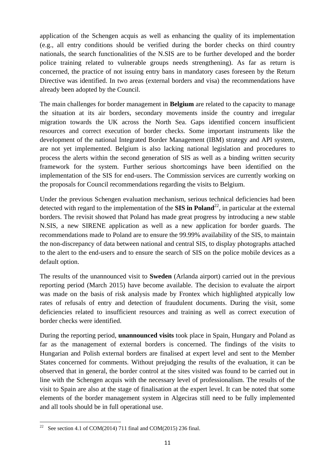application of the Schengen acquis as well as enhancing the quality of its implementation (e.g., all entry conditions should be verified during the border checks on third country nationals, the search functionalities of the N.SIS are to be further developed and the border police training related to vulnerable groups needs strengthening). As far as return is concerned, the practice of not issuing entry bans in mandatory cases foreseen by the Return Directive was identified. In two areas (external borders and visa) the recommendations have already been adopted by the Council.

The main challenges for border management in **Belgium** are related to the capacity to manage the situation at its air borders, secondary movements inside the country and irregular migration towards the UK across the North Sea. Gaps identified concern insufficient resources and correct execution of border checks. Some important instruments like the development of the national Integrated Border Management (IBM) strategy and API system, are not yet implemented. Belgium is also lacking national legislation and procedures to process the alerts within the second generation of SIS as well as a binding written security framework for the system. Further serious shortcomings have been identified on the implementation of the SIS for end-users. The Commission services are currently working on the proposals for Council recommendations regarding the visits to Belgium.

Under the previous Schengen evaluation mechanism, serious technical deficiencies had been detected with regard to the implementation of the **SIS in Poland**<sup>22</sup>, in particular at the external borders. The revisit showed that Poland has made great progress by introducing a new stable N.SIS, a new SIRENE application as well as a new application for border guards. The recommendations made to Poland are to ensure the 99.99% availability of the SIS, to maintain the non-discrepancy of data between national and central SIS, to display photographs attached to the alert to the end-users and to ensure the search of SIS on the police mobile devices as a default option.

The results of the unannounced visit to **Sweden** (Arlanda airport) carried out in the previous reporting period (March 2015) have become available. The decision to evaluate the airport was made on the basis of risk analysis made by Frontex which highlighted atypically low rates of refusals of entry and detection of fraudulent documents. During the visit, some deficiencies related to insufficient resources and training as well as correct execution of border checks were identified.

During the reporting period, **unannounced visits** took place in Spain, Hungary and Poland as far as the management of external borders is concerned. The findings of the visits to Hungarian and Polish external borders are finalised at expert level and sent to the Member States concerned for comments. Without prejudging the results of the evaluation, it can be observed that in general, the border control at the sites visited was found to be carried out in line with the Schengen acquis with the necessary level of professionalism. The results of the visit to Spain are also at the stage of finalisation at the expert level. It can be noted that some elements of the border management system in Algeciras still need to be fully implemented and all tools should be in full operational use.

**<sup>.</sup>** <sup>22</sup> See section 4.1 of COM(2014) 711 final and COM(2015) 236 final.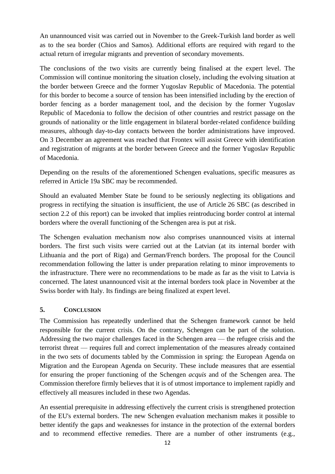An unannounced visit was carried out in November to the Greek-Turkish land border as well as to the sea border (Chios and Samos). Additional efforts are required with regard to the actual return of irregular migrants and prevention of secondary movements.

The conclusions of the two visits are currently being finalised at the expert level. The Commission will continue monitoring the situation closely, including the evolving situation at the border between Greece and the former Yugoslav Republic of Macedonia. The potential for this border to become a source of tension has been intensified including by the erection of border fencing as a border management tool, and the decision by the former Yugoslav Republic of Macedonia to follow the decision of other countries and restrict passage on the grounds of nationality or the little engagement in bilateral border-related confidence building measures, although day-to-day contacts between the border administrations have improved. On 3 December an agreement was reached that Frontex will assist Greece with identification and registration of migrants at the border between Greece and the former Yugoslav Republic of Macedonia.

Depending on the results of the aforementioned Schengen evaluations, specific measures as referred in Article 19a SBC may be recommended.

Should an evaluated Member State be found to be seriously neglecting its obligations and progress in rectifying the situation is insufficient, the use of Article 26 SBC (as described in section 2.2 of this report) can be invoked that implies reintroducing border control at internal borders where the overall functioning of the Schengen area is put at risk.

The Schengen evaluation mechanism now also comprises unannounced visits at internal borders. The first such visits were carried out at the Latvian (at its internal border with Lithuania and the port of Riga) and German/French borders. The proposal for the Council recommendation following the latter is under preparation relating to minor improvements to the infrastructure. There were no recommendations to be made as far as the visit to Latvia is concerned. The latest unannounced visit at the internal borders took place in November at the Swiss border with Italy. Its findings are being finalized at expert level.

### **5. CONCLUSION**

The Commission has repeatedly underlined that the Schengen framework cannot be held responsible for the current crisis. On the contrary, Schengen can be part of the solution. Addressing the two major challenges faced in the Schengen area — the refugee crisis and the terrorist threat — requires full and correct implementation of the measures already contained in the two sets of documents tabled by the Commission in spring: the European Agenda on Migration and the European Agenda on Security. These include measures that are essential for ensuring the proper functioning of the Schengen *acquis* and of the Schengen area. The Commission therefore firmly believes that it is of utmost importance to implement rapidly and effectively all measures included in these two Agendas.

An essential prerequisite in addressing effectively the current crisis is strengthened protection of the EU's external borders. The new Schengen evaluation mechanism makes it possible to better identify the gaps and weaknesses for instance in the protection of the external borders and to recommend effective remedies. There are a number of other instruments (e.g.,